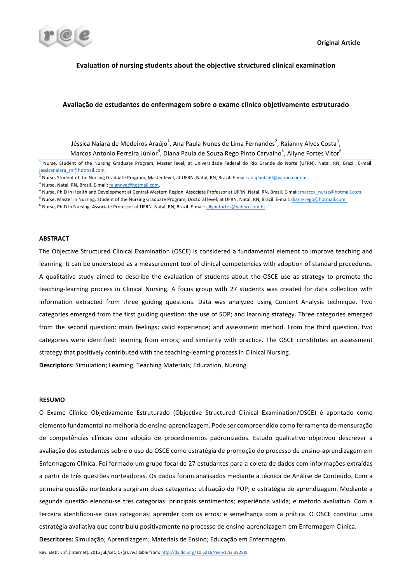

# Evaluation of nursing students about the objective structured clinical examination

# **Avaliação de estudantes de enfermagem sobre o exame clínico objetivamente estruturado**

Jéssica Naiara de Medeiros Araújo $^1$ , Ana Paula Nunes de Lima Fernandes $^2$ , Raianny Alves Costa $^3$ , Marcos Antonio Ferreira Júnior<sup>4</sup>, Diana Paula de Souza Rego Pinto Carvalho<sup>5</sup>, Allyne Fortes Vitor<sup>6</sup>

<sup>1</sup> Nurse. Student of the Nursing Graduate Program, Master level, at Universidade Federal do Rio Grande do Norte (UFRN). Natal, RN, Brazil. E-mail: jessicanaiara\_rn@hotmail.com.

- <sup>4</sup> Nurse, Ph.D in Health and Development at Central-Western Region. Associate Professor at UFRN. Natal, RN, Brazil. E-mail: marcos\_nurse@hotmail.com.
- <sup>5</sup> Nurse, Master in Nursing. Student of the Nursing Graduate Program, Doctoral level, at UFRN. Natal, RN, Brazil. E-mail: diana-rego@hotmail.com.

# **ABSTRACT**

The Objective Structured Clinical Examination (OSCE) is considered a fundamental element to improve teaching and learning. It can be understood as a measurement tool of clinical competencies with adoption of standard procedures. A qualitative study aimed to describe the evaluation of students about the OSCE use as strategy to promote the teaching-learning process in Clinical Nursing. A focus group with 27 students was created for data collection with information extracted from three guiding questions. Data was analyzed using Content Analysis technique. Two categories emerged from the first guiding question: the use of SOP; and learning strategy. Three categories emerged from the second question: main feelings; valid experience; and assessment method. From the third question, two categories were identified: learning from errors; and similarity with practice. The OSCE constitutes an assessment strategy that positively contributed with the teaching-learning process in Clinical Nursing.

**Descriptors:** Simulation; Learning; Teaching Materials; Education, Nursing.

#### **RESUMO**

O Exame Clínico Objetivamente Estruturado (Objective Structured Clinical Examination/OSCE) é apontado como elemento fundamental na melhoria do ensino-aprendizagem. Pode ser compreendido como ferramenta de mensuração de competências clínicas com adoção de procedimentos padronizados. Estudo qualitativo objetivou descrever a avaliação dos estudantes sobre o uso do OSCE como estratégia de promoção do processo de ensino-aprendizagem em Enfermagem Clínica. Foi formado um grupo focal de 27 estudantes para a coleta de dados com informações extraídas a partir de três questões norteadoras. Os dados foram analisados mediante a técnica de Análise de Conteúdo. Com a primeira questão norteadora surgiram duas categorias: utilização do POP; e estratégia de aprendizagem. Mediante a segunda questão elencou-se três categorias: principais sentimentos; experiência válida; e método avaliativo. Com a terceira identificou-se duas categorias: aprender com os erros; e semelhança com a prática. O OSCE constitui uma estratégia avaliativa que contribuiu positivamente no processo de ensino-aprendizagem em Enfermagem Clínica.

Descritores: Simulação; Aprendizagem; Materiais de Ensino; Educação em Enfermagem.

<sup>&</sup>lt;sup>2</sup> Nurse, Student of the Nursing Graduate Program, Master level, at UFRN. Natal, RN, Brazil. E-mail: anapaulanlf@yahoo.com.br.

<sup>&</sup>lt;sup>3</sup> Nurse. Natal, RN, Brazil. E-mail: raiannya@hotmail.com.

<sup>&</sup>lt;sup>6</sup> Nurse, Ph.D in Nursing. Associate Professor at UFRN. Natal, RN, Brazil. E-mail: allynefortes@yahoo.com.br.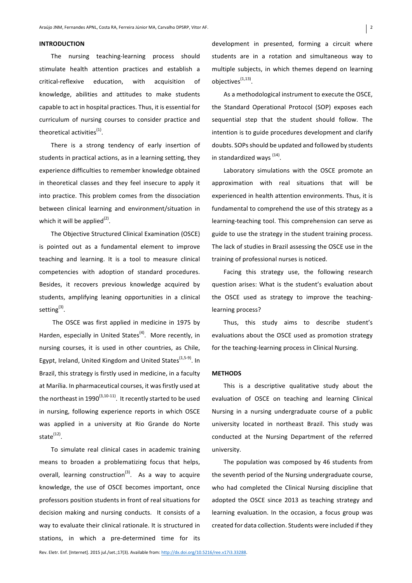# **INTRODUCTION**

The nursing teaching-learning process should stimulate health attention practices and establish a critical-reflexive education, with acquisition of knowledge, abilities and attitudes to make students capable to act in hospital practices. Thus, it is essential for curriculum of nursing courses to consider practice and theoretical activities<sup>(1)</sup>.

There is a strong tendency of early insertion of students in practical actions, as in a learning setting, they experience difficulties to remember knowledge obtained in theoretical classes and they feel insecure to apply it into practice. This problem comes from the dissociation between clinical learning and environment/situation in which it will be applied<sup>(2)</sup>.

The Objective Structured Clinical Examination (OSCE) is pointed out as a fundamental element to improve teaching and learning. It is a tool to measure clinical competencies with adoption of standard procedures. Besides, it recovers previous knowledge acquired by students, amplifying leaning opportunities in a clinical setting $^{(3)}$ .

The OSCE was first applied in medicine in 1975 by Harden, especially in United States<sup>(4)</sup>. More recently, in nursing courses, it is used in other countries, as Chile, Egypt, Ireland, United Kingdom and United States<sup> $(1,5-9)$ </sup>. In Brazil, this strategy is firstly used in medicine, in a faculty at Marília. In pharmaceutical courses, it was firstly used at the northeast in 1990<sup>(3,10-11)</sup>. It recently started to be used in nursing, following experience reports in which OSCE was applied in a university at Rio Grande do Norte state $^{(12)}$ .

To simulate real clinical cases in academic training means to broaden a problematizing focus that helps, overall, learning construction<sup>(3)</sup>. As a way to acquire knowledge, the use of OSCE becomes important, once professors position students in front of real situations for decision making and nursing conducts. It consists of a way to evaluate their clinical rationale. It is structured in stations, in which a pre-determined time for its development in presented, forming a circuit where students are in a rotation and simultaneous way to multiple subjects, in which themes depend on learning  $objects^{(1,13)}$ .

As a methodological instrument to execute the OSCE, the Standard Operational Protocol (SOP) exposes each sequential step that the student should follow. The intention is to guide procedures development and clarify doubts. SOPs should be updated and followed by students in standardized ways  $(14)$ .

Laboratory simulations with the OSCE promote an approximation with real situations that will be experienced in health attention environments. Thus, it is fundamental to comprehend the use of this strategy as a learning-teaching tool. This comprehension can serve as guide to use the strategy in the student training process. The lack of studies in Brazil assessing the OSCE use in the training of professional nurses is noticed.

Facing this strategy use, the following research question arises: What is the student's evaluation about the OSCE used as strategy to improve the teachinglearning process?

Thus, this study aims to describe student's evaluations about the OSCE used as promotion strategy for the teaching-learning process in Clinical Nursing.

### **METHODS**

This is a descriptive qualitative study about the evaluation of OSCE on teaching and learning Clinical Nursing in a nursing undergraduate course of a public university located in northeast Brazil. This study was conducted at the Nursing Department of the referred university. 

The population was composed by 46 students from the seventh period of the Nursing undergraduate course, who had completed the Clinical Nursing discipline that adopted the OSCE since 2013 as teaching strategy and learning evaluation. In the occasion, a focus group was created for data collection. Students were included if they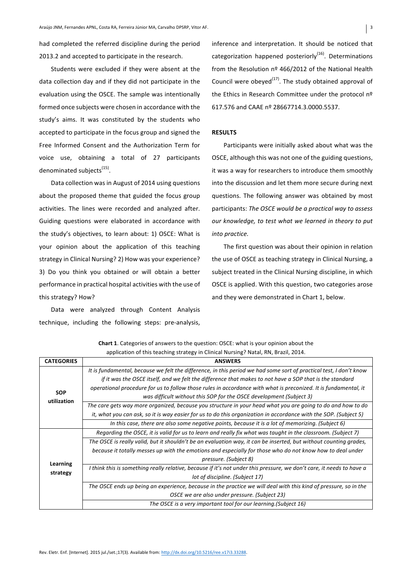had completed the referred discipline during the period 2013.2 and accepted to participate in the research.

Students were excluded if they were absent at the data collection day and if they did not participate in the evaluation using the OSCE. The sample was intentionally formed once subjects were chosen in accordance with the study's aims. It was constituted by the students who accepted to participate in the focus group and signed the Free Informed Consent and the Authorization Term for voice use, obtaining a total of 27 participants denominated subjects $^{(15)}$ .

Data collection was in August of 2014 using questions about the proposed theme that guided the focus group activities. The lines were recorded and analyzed after. Guiding questions were elaborated in accordance with the study's objectives, to learn about: 1) OSCE: What is your opinion about the application of this teaching strategy in Clinical Nursing? 2) How was your experience? 3) Do you think you obtained or will obtain a better performance in practical hospital activities with the use of this strategy? How?

Data were analyzed through Content Analysis technique, including the following steps: pre-analysis, inference and interpretation. It should be noticed that categorization happened posteriorly $(16)$ . Determinations from the Resolution  $n^{\circ}$  466/2012 of the National Health Council were obeyed<sup>(17)</sup>. The study obtained approval of the Ethics in Research Committee under the protocol nº 617.576 and CAAE nº 28667714.3.0000.5537.

# **RESULTS**

Participants were initially asked about what was the OSCE, although this was not one of the guiding questions, it was a way for researchers to introduce them smoothly into the discussion and let them more secure during next questions. The following answer was obtained by most participants: The OSCE would be a practical way to assess our knowledge, to test what we learned in theory to put *into practice.* 

The first question was about their opinion in relation the use of OSCE as teaching strategy in Clinical Nursing, a subject treated in the Clinical Nursing discipline, in which OSCE is applied. With this question, two categories arose and they were demonstrated in Chart 1, below.

**CATEGORIES ANSWERS SOP utilization** It is fundamental, because we felt the difference, in this period we had some sort of practical test, I don't know *if* it was the OSCE itself, and we felt the difference that makes to not have a SOP that is the standard *operational procedure for us to follow those rules in accordance with what is preconized. It is fundamental, it was difficult without this SOP for the OSCE development (Subject 3)* The care gets way more organized, because you structure in your head what you are going to do and how to do *it,* what you can ask, so it is way easier for us to do this organization in accordance with the SOP. (Subject 5) *In* this case, there are also some negative points, because it is a lot of memorizing. (Subject 6) **Learning strategy** *Regarding the OSCE, it is valid for us to learn and really fix what was taught in the classroom. (Subject 7)* The OSCE is really valid, but it shouldn't be an evaluation way, it can be inserted, but without counting grades, *because* it totally messes up with the emotions and especially for those who do not know how to deal under *pressure. (Subject 8) I* think this is something really relative, because if it's not under this pressure, we don't care, it needs to have a *lot of discipline. (Subject 17)* The OSCE ends up being an experience, because in the practice we will deal with this kind of pressure, so in the *OSCE we are also under pressure. (Subject 23)* The OSCE is a very important tool for our learning.(Subject 16)

**Chart 1.** Categories of answers to the question: OSCE: what is your opinion about the application of this teaching strategy in Clinical Nursing? Natal, RN, Brazil, 2014.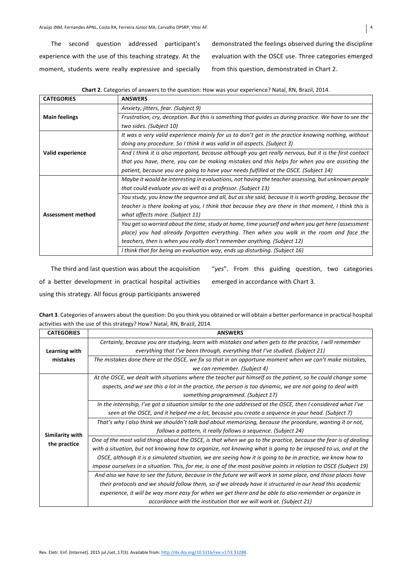The second question addressed participant's experience with the use of this teaching strategy. At the moment, students were really expressive and specially demonstrated the feelings observed during the discipline evaluation with the OSCE use. Three categories emerged from this question, demonstrated in Chart 2.

| <b>CATEGORIES</b>    | <b>ANSWERS</b>                                                                                         |
|----------------------|--------------------------------------------------------------------------------------------------------|
|                      | Anxiety, jitters, fear. (Subject 9)                                                                    |
| <b>Main feelings</b> | Frustration, cry, deception. But this is something that quides us during practice. We have to see the  |
|                      | two sides. (Subject 10)                                                                                |
|                      | It was a very valid experience mainly for us to don't get in the practice knowing nothing, without     |
|                      | doing any procedure. So I think it was valid in all aspects. (Subject 3)                               |
| Valid experience     | And I think it is also important, because although you get really nervous, but it is the first contact |
|                      | that you have, there, you can be making mistakes and this helps for when you are assisting the         |
|                      | patient, because you are going to have your needs fulfilled at the OSCE. (Subject 14)                  |
|                      | Maybe it would be interesting in evaluations, not having the teacher assessing, but unknown people     |
|                      | that could evaluate you as well as a professor. (Subject 13)                                           |
|                      | You study, you know the sequence and all, but as she said, because it is worth grading, because the    |
|                      | teacher is there looking at you, I think that because they are there in that moment, I think this is   |
| Assessment method    | what affects more. (Subject 11)                                                                        |
|                      | You get so worried about the time, study at home, time yourself and when you get here (assessment      |
|                      | place) you had already forgotten everything. Then when you walk in the room and face the               |
|                      | teachers, then is when you really don't remember anything. (Subject 12)                                |
|                      | I think that for being an evaluation way, ends up disturbing. (Subject 16)                             |

The third and last question was about the acquisition of a better development in practical hospital activities using this strategy. All focus group participants answered "*yes*". From this guiding question, two categories emerged in accordance with Chart 3.

| <b>CATEGORIES</b>               | <b>ANSWERS</b>                                                                                                     |
|---------------------------------|--------------------------------------------------------------------------------------------------------------------|
|                                 | Certainly, because you are studying, learn with mistakes and when gets to the practice, I will remember            |
| Learning with                   | everything that I've been through, everything that I've studied. (Subject 21)                                      |
| mistakes                        | The mistakes done there at the OSCE, we fix so that in an opportune moment when we can't make mistakes,            |
|                                 | we can remember. (Subject 4)                                                                                       |
| Similarity with<br>the practice | At the OSCE, we dealt with situations where the teacher put himself as the patient, so he could change some        |
|                                 | aspects, and we see this a lot in the practice, the person is too dynamic, we are not going to deal with           |
|                                 | something programmed. (Subject 17)                                                                                 |
|                                 | In the internship, I've got a situation similar to the one addressed at the OSCE, then I considered what I've      |
|                                 | seen at the OSCE, and it helped me a lot, because you create a sequence in your head. (Subject 7)                  |
|                                 | That's why I also think we shouldn't talk bad about memorizing, because the procedure, wanting it or not,          |
|                                 | follows a pattern, it really follows a sequence. (Subject 24)                                                      |
|                                 | One of the most valid things about the OSCE, is that when we go to the practice, because the fear is of dealing    |
|                                 | with a situation, but not knowing how to organize, not knowing what is going to be imposed to us, and at the       |
|                                 | OSCE, although it is a simulated situation, we are seeing how it is going to be in practice, we know how to        |
|                                 | impose ourselves in a situation. This, for me, is one of the most positive points in relation to OSCE (Subject 19) |
|                                 | And also we have to see the future, because in the future we will work in some place, and those places have        |
|                                 | their protocols and we should follow them, so if we already have it structured in our head this academic           |
|                                 | experience, it will be way more easy for when we get there and be able to also remember or organize in             |
|                                 | accordance with the institution that we will work at. (Subject 21)                                                 |

Chart 3. Categories of answers about the question: Do you think you obtained or will obtain a better performance in practical hospital activities with the use of this strategy? How? Natal, RN, Brazil, 2014.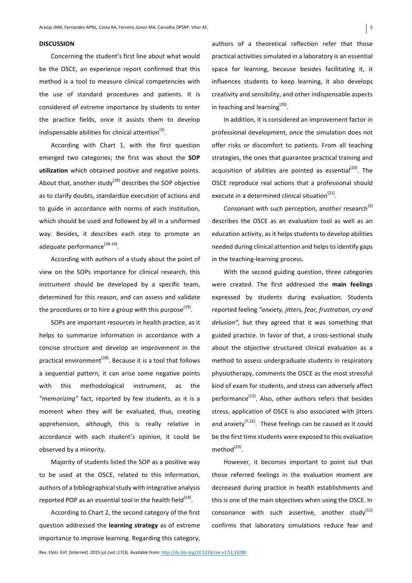### **DISCUSSION**

Concerning the student's first line about what would be the OSCE, an experience report confirmed that this method is a tool to measure clinical competencies with the use of standard procedures and patients. It is considered of extreme importance by students to enter the practice fields, once it assists them to develop indispensable abilities for clinical attention<sup>(3)</sup>.

According with Chart 1, with the first question emerged two categories; the first was about the **SOP** utilization which obtained positive and negative points. About that, another study<sup>(18)</sup> describes the SOP objective as to clarify doubts, standardize execution of actions and to guide in accordance with norms of each institution, which should be used and followed by all in a uniformed way. Besides, it describes each step to promote an adequate performance<sup>(18-19)</sup>.

According with authors of a study about the point of view on the SOPs importance for clinical research, this instrument should be developed by a specific team, determined for this reason, and can assess and validate the procedures or to hire a group with this purpose<sup>(19)</sup>.

SOPs are important resources in health practice, as it helps to summarize information in accordance with a concise structure and develop an improvement in the practical environment<sup> $(18)$ </sup>. Because it is a tool that follows a sequential pattern, it can arise some negative points with this methodological instrument, as the "memorizing" fact, reported by few students, as it is a moment when they will be evaluated, thus, creating apprehension, although, this is really relative in accordance with each student's opinion, it could be observed by a minority.

Majority of students listed the SOP as a positive way to be used at the OSCE, related to this information, authors of a bibliographical study with integrative analysis reported POP as an essential tool in the health field<sup>(14)</sup>.

According to Chart 2, the second category of the first question addressed the *learning* strategy as of extreme importance to improve learning. Regarding this category, authors of a theoretical reflection refer that those practical activities simulated in a laboratory is an essential space for learning, because besides facilitating it, it influences students to keep learning, it also develops creativity and sensibility, and other indispensable aspects in teaching and learning $^{(20)}$ .

In addition, it is considered an improvement factor in professional development, once the simulation does not offer risks or discomfort to patients. From all teaching strategies, the ones that guarantee practical training and acquisition of abilities are pointed as essential $(20)$ . The OSCE reproduce real actions that a professional should execute in a determined clinical situation<sup>(21)</sup>.

Consonant with such perception, another research<sup>(3)</sup> describes the OSCE as an evaluation tool as well as an education activity, as it helps students to develop abilities needed during clinical attention and helps to identify gaps in the teaching-learning process.

With the second guiding question, three categories were created. The first addressed the **main feelings** expressed by students during evaluation. Students reported feeling "anxiety, jitters, fear, frustration, cry and delusion", but they agreed that it was something that guided practice. In favor of that, a cross-sectional study about the objective structured clinical evaluation as a method to assess undergraduate students in respiratory physiotherapy, comments the OSCE as the most stressful kind of exam for students, and stress can adversely affect performance $^{(12)}$ . Also, other authors refers that besides stress, application of OSCE is also associated with jitters and anxiety<sup>(7,22)</sup>. These feelings can be caused as it could be the first time students were exposed to this evaluation method $^{(23)}$ .

However, it becomes important to point out that those referred feelings in the evaluation moment are decreased during practice in health establishments and this is one of the main objectives when using the OSCE. In consonance with such assertive, another study $(11)$ confirms that laboratory simulations reduce fear and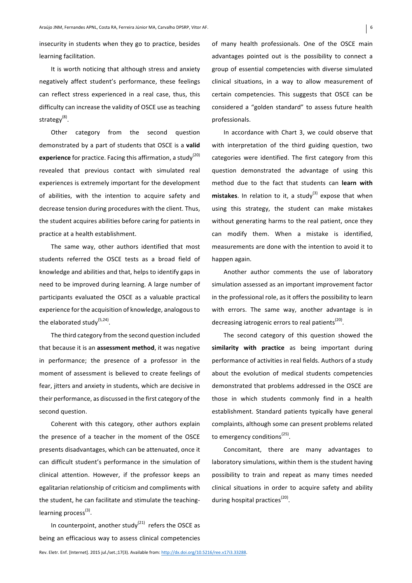insecurity in students when they go to practice, besides learning facilitation.

It is worth noticing that although stress and anxiety negatively affect student's performance, these feelings can reflect stress experienced in a real case, thus, this difficulty can increase the validity of OSCE use as teaching strategy<sup>(8)</sup>.

Other category from the second question demonstrated by a part of students that OSCE is a valid **experience** for practice. Facing this affirmation, a study<sup>(20)</sup> revealed that previous contact with simulated real experiences is extremely important for the development of abilities, with the intention to acquire safety and decrease tension during procedures with the client. Thus, the student acquires abilities before caring for patients in practice at a health establishment.

The same way, other authors identified that most students referred the OSCE tests as a broad field of knowledge and abilities and that, helps to identify gaps in need to be improved during learning. A large number of participants evaluated the OSCE as a valuable practical experience for the acquisition of knowledge, analogous to the elaborated study<sup>(5,24)</sup>.

The third category from the second question included that because it is an **assessment method**, it was negative in performance; the presence of a professor in the moment of assessment is believed to create feelings of fear, jitters and anxiety in students, which are decisive in their performance, as discussed in the first category of the second question.

Coherent with this category, other authors explain the presence of a teacher in the moment of the OSCE presents disadvantages, which can be attenuated, once it can difficult student's performance in the simulation of clinical attention. However, if the professor keeps an egalitarian relationship of criticism and compliments with the student, he can facilitate and stimulate the teachinglearning process $^{(3)}$ .

In counterpoint, another study<sup>(21)</sup> refers the OSCE as being an efficacious way to assess clinical competencies of many health professionals. One of the OSCE main advantages pointed out is the possibility to connect a group of essential competencies with diverse simulated clinical situations, in a way to allow measurement of certain competencies. This suggests that OSCE can be considered a "golden standard" to assess future health professionals. 

In accordance with Chart 3, we could observe that with interpretation of the third guiding question, two categories were identified. The first category from this question demonstrated the advantage of using this method due to the fact that students can learn with **mistakes**. In relation to it, a study<sup>(3)</sup> expose that when using this strategy, the student can make mistakes without generating harms to the real patient, once they can modify them. When a mistake is identified, measurements are done with the intention to avoid it to happen again. 

Another author comments the use of laboratory simulation assessed as an important improvement factor in the professional role, as it offers the possibility to learn with errors. The same way, another advantage is in decreasing iatrogenic errors to real patients<sup>(20)</sup>.

The second category of this question showed the similarity with practice as being important during performance of activities in real fields. Authors of a study about the evolution of medical students competencies demonstrated that problems addressed in the OSCE are those in which students commonly find in a health establishment. Standard patients typically have general complaints, although some can present problems related to emergency conditions<sup>(25)</sup>.

Concomitant, there are many advantages to laboratory simulations, within them is the student having possibility to train and repeat as many times needed clinical situations in order to acquire safety and ability during hospital practices $^{(20)}$ .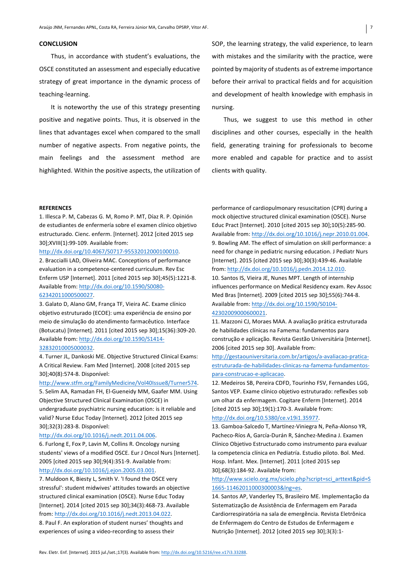### **CONCLUSION**

Thus, in accordance with student's evaluations, the OSCE constituted an assessment and especially educative strategy of great importance in the dynamic process of teaching-learning. 

It is noteworthy the use of this strategy presenting positive and negative points. Thus, it is observed in the lines that advantages excel when compared to the small number of negative aspects. From negative points, the main feelings and the assessment method are highlighted. Within the positive aspects, the utilization of SOP, the learning strategy, the valid experience, to learn with mistakes and the similarity with the practice, were pointed by majority of students as of extreme importance before their arrival to practical fields and for acquisition and development of health knowledge with emphasis in nursing. 

Thus, we suggest to use this method in other disciplines and other courses, especially in the health field, generating training for professionals to become more enabled and capable for practice and to assist clients with quality.

# **REFERENCES**

1. Illesca P. M, Cabezas G. M, Romo P. MT, Díaz R. P. Opinión de estudiantes de enfermería sobre el examen clínico objetivo estructurado. Cienc. enferm. [Internet]. 2012 [cited 2015 sep 30];XVIII(1):99-109. Available from:

#### http://dx.doi.org/10.4067/S0717-95532012000100010.

2. Braccialli LAD, Oliveira MAC. Conceptions of performance evaluation in a competence-centered curriculum. Rev Esc Enferm USP [Internet]. 2011 [cited 2015 sep 30];45(5):1221-8. Available from: http://dx.doi.org/10.1590/S0080-

# 62342011000500027.

3. Galato D, Alano GM, França TF, Vieira AC. Exame clínico objetivo estruturado (ECOE): uma experiência de ensino por meio de simulação do atendimento farmacêutico. Interface (Botucatu) [Internet]. 2011 [cited 2015 sep 30];15(36):309-20. Available from: http://dx.doi.org/10.1590/S1414-32832010005000032.

4. Turner JL, Dankoski ME. Objective Structured Clinical Exams: A Critical Review. Fam Med [Internet]. 2008 [cited 2015 sep 30];40(8):574-8. Disponível: 

# http://www.stfm.org/FamilyMedicine/Vol40Issue8/Turner574.

5. Selim AA, Ramadan FH, El-Gueneidy MM, Gaafer MM. Using Objective Structured Clinical Examination (OSCE) in undergraduate psychiatric nursing education: is it reliable and valid? Nurse Educ Today [Internet]. 2012 [cited 2015 sep 30];32(3):283-8. Disponível: 

#### http://dx.doi.org/10.1016/j.nedt.2011.04.006.

6. Furlong E, Fox P, Lavin M, Collins R. Oncology nursing students' views of a modified OSCE. Eur J Oncol Nurs [Internet]. 2005 [cited 2015 sep 30];9(4):351-9. Available from: http://dx.doi.org/10.1016/j.ejon.2005.03.001.

7. Muldoon K, Biesty L, Smith V. 'I found the OSCE very stressful': student midwives' attitudes towards an objective structured clinical examination (OSCE). Nurse Educ Today [Internet]. 2014 [cited 2015 sep 30]:34(3):468-73. Available from: http://dx.doi.org/10.1016/j.nedt.2013.04.022.

8. Paul F. An exploration of student nurses' thoughts and experiences of using a video-recording to assess their

performance of cardiopulmonary resuscitation (CPR) during a mock objective structured clinical examination (OSCE). Nurse Educ Pract [Internet]. 2010 [cited 2015 sep 30];10(5):285-90. Available from: http://dx.doi.org/10.1016/j.nepr.2010.01.004. 9. Bowling AM. The effect of simulation on skill performance: a need for change in pediatric nursing education. J Pediatr Nurs [Internet]. 2015 [cited 2015 sep 30];30(3):439-46. Available from: http://dx.doi.org/10.1016/j.pedn.2014.12.010. 10. Santos IS, Vieira JE, Nunes MPT. Length of internship influences performance on Medical Residency exam. Rev Assoc Med Bras [Internet]. 2009 [cited 2015 sep 30];55(6):744-8. Available from: http://dx.doi.org/10.1590/S0104-42302009000600021.

11. Mazzoni CJ, Moraes MAA. A avaliação prática estruturada de habilidades clínicas na Famema: fundamentos para construção e aplicação. Revista Gestão Universitária [Internet]. 2006 [cited 2015 sep 30]. Available from:

http://gestaouniversitaria.com.br/artigos/a-avaliacao-praticaestruturada-de-habilidades-clinicas-na-famema-fundamentospara-construcao-e-aplicacao.

12. Medeiros SB, Pereira CDFD, Tourinho FSV, Fernandes LGG, Santos VEP. Exame clínico objetivo estruturado: reflexões sob um olhar da enfermagem. Cogitare Enferm [Internet]. 2014 [cited 2015 sep 30];19(1):170-3. Available from:

#### http://dx.doi.org/10.5380/ce.v19i1.35977.

13. Gamboa-Salcedo T, Martínez-Viniegra N, Peña-Alonso YR, Pacheco-Ríos A, García-Durán R, Sánchez-Medina J. Examen Clínico Objetivo Estructurado como instrumento para evaluar la competencia clínica en Pediatría. Estudio piloto. Bol. Med. Hosp. Infant. Mex. [Internet]. 2011 [cited 2015 sep 30];68(3):184-92. Available from:

# http://www.scielo.org.mx/scielo.php?script=sci\_arttext&pid=S 1665-11462011000300003&lng=es.

14. Santos AP, Vanderley TS, Brasileiro ME. Implementação da Sistematização de Assistência de Enfermagem em Parada Cardiorrespiratória na sala de emergência. Revista Eletrônica de Enfermagem do Centro de Estudos de Enfermagem e Nutrição [Internet]. 2012 [cited 2015 sep 30];3(3):1-